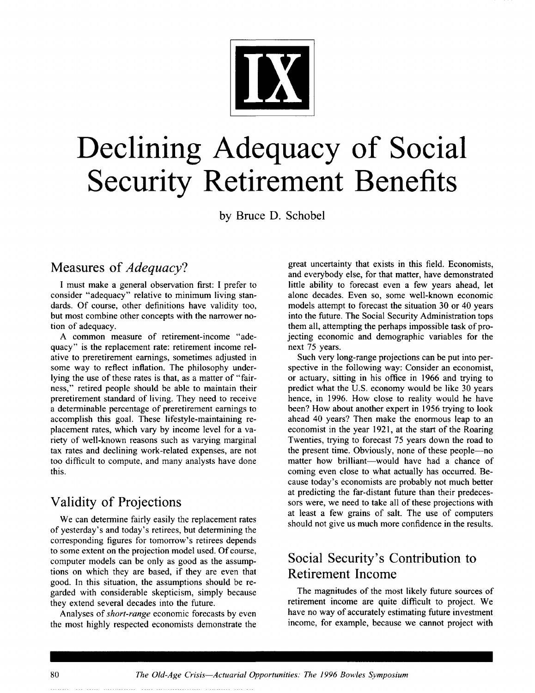

# **Declining Adequacy of Social Security Retirement Benefits**

by Bruce D. Schobel

## **Measures of** *Adequacy?*

I must make a general observation first: I prefer to consider "adequacy" relative to minimum living standards. Of course, other definitions have validity too, but most combine other concepts with the narrower notion of adequacy.

A common measure of retirement-income "adequacy" is the replacement rate: retirement income relative to preretirement earnings, sometimes adjusted in some way to reflect inflation. The philosophy underlying the use of these rates is that, as a matter of "fairness," retired people should be able to maintain their preretirement standard of living. They need to receive a determinable percentage of preretirement earnings to accomplish this goal. These lifestyle-maintaining replacement rates, which vary by income level for a variety of well-known reasons such as varying marginal tax rates and declining work-related expenses, are not too difficult to compute, and many analysts have done this.

## **Validity of Projections**

We can determine fairly easily the replacement rates of yesterday's and today's retirees, but determining the corresponding figures for tomorrow's retirees depends to some extent on the projection model used. Of course, computer models can be only as good as the assumptions on which they are based, if they are even that good. In this situation, the assumptions should be regarded with considerable skepticism, simply because they extend several decades into the future.

Analyses of *short-range* economic forecasts by even the most highly respected economists demonstrate the

great uncertainty that exists in this field. Economists, and everybody else, for that matter, have demonstrated little ability to forecast even a few years ahead, let alone decades. Even so, some well-known economic models attempt to forecast the situation 30 or 40 years into the future. The Social Security Administration tops them all, attempting the perhaps impossible task of projecting economic and demographic variables for the next 75 years.

Such very long-range projections can be put into perspective in the following way: Consider an economist, or actuary, sitting in his office in 1966 and trying to predict what the U.S. economy would be like 30 years hence, in 1996. How close to reality would he have been? How about another expert in 1956 trying to look ahead 40 years? Then make the enormous leap to an economist in the year 1921, at the start of the Roaring Twenties, trying to forecast 75 years down the road to the present time. Obviously, none of these people--no matter how brilliant--would have had a chance of coming even close to what actually has occurred. Because today's economists are probably not much better at predicting the far-distant future than their predecessors were, we need to take all of these projections with at least a few grains of salt. The use of computers should not give us much more confidence in the results.

## **Social Security's Contribution to Retirement Income**

The magnitudes of the most likely future sources of retirement income are quite difficult to project. We have no way of accurately estimating future investment income, for example, because we cannot project with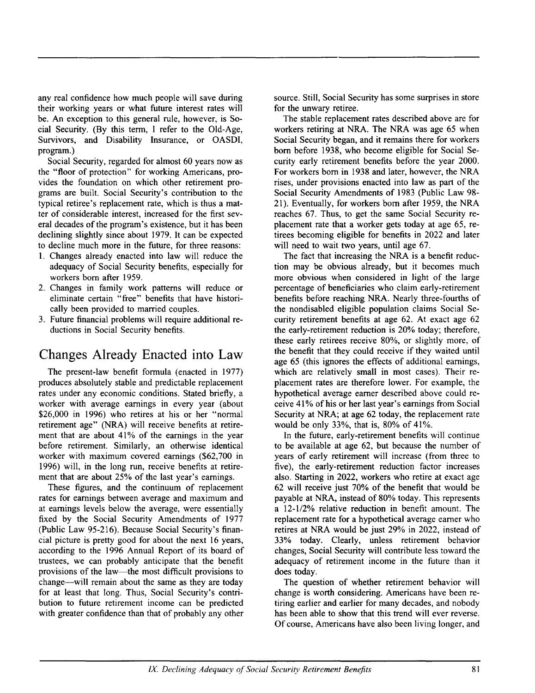any real confidence how much people will save during their working years or what future interest rates will be. An exception to this general rule, however, is Social Security. (By this term, I refer to the Old-Age, Survivors, and Disability Insurance, or OASDI, program.)

Social Security, regarded for almost 60 years now as the "floor of protection" for working Americans, provides the foundation on which other retirement programs are built. Social Security's contribution to the typical retiree's replacement rate, which is thus a matter of considerable interest, increased for the first several decades of the program's existence, but it has been declining slightly since about 1979. It can be expected to decline much more in the future, for three reasons:

- 1. Changes already enacted into law will reduce the adequacy of Social Security benefits, especially for workers born after 1959.
- 2. Changes in family work patterns will reduce or eliminate certain "free" benefits that have historically been provided to married couples.
- 3. Future financial problems will require additional reductions in Social Security benefits.

## **Changes Already Enacted into Law**

The present-law benefit formula (enacted in 1977) produces absolutely stable and predictable replacement rates under any economic conditions. Stated briefly, a worker with average earnings in every year (about \$26,000 in 1996) who retires at his or her "normal retirement age" (NRA) will receive benefits at retirement that are about 41% of the earnings in the year before retirement. Similarly, an otherwise identical worker with maximum covered earnings (\$62,700 in 1996) will, in the long run, receive benefits at retirement that are about 25% of the last year's earnings.

These figures, and the continuum of replacement rates for earnings between average and maximum and at earnings levels below the average, were essentially fixed by the Social Security Amendments of 1977 (Public Law 95-216). Because Social Security's financial picture is pretty good for about the next 16 years, according to the 1996 Annual Report of its board of trustees, we can probably anticipate that the benefit provisions of the law--the most difficult provisions to change—will remain about the same as they are today for at least that long. Thus, Social Security's contribution to future retirement income can be predicted with greater confidence than that of probably any other source. Still, Social Security has some surprises in store for the unwary retiree.

The stable replacement rates described above are for workers retiring at NRA. The NRA was age 65 when Social Security began, and it remains there for workers born before 1938, who become eligible for Social Security early retirement benefits before the year 2000. For workers born in 1938 and later, however, the NRA rises, under provisions enacted into law as part of the Social Security Amendments of 1983 (Public Law 98- 21). Eventually, for workers born after 1959, the NRA reaches 67. Thus, to get the same Social Security replacement rate that a worker gets today at age 65, retirees becoming eligible for benefits in 2022 and later will need to wait two years, until age 67.

The fact that increasing the NRA is a benefit reduction may be obvious already, but it becomes much more obvious when considered in light of the large percentage of beneficiaries who claim early-retirement benefits before reaching NRA. Nearly three-fourths of the nondisabled eligible population claims Social Security retirement benefits at age 62. At exact age 62 the early-retirement reduction is 20% today; therefore, these early retirees receive 80%, or slightly more, of the benefit that they could receive if they waited until age 65 (this ignores the effects of additional earnings, which are relatively small in most cases). Their replacement rates are therefore lower. For example, the hypothetical average earner described above could receive 41% of his or her last year's earnings from Social Security at NRA; at age 62 today, the replacement rate would be only 33%, that is, 80% of 41%.

In the future, early-retirement benefits will continue to be available at age 62, but because the number of years of early retirement will increase (from three to five), the early-retirement reduction factor increases also. Starting in 2022, workers who retire at exact age 62 will receive just 70% of the benefit that would be payable at NRA, instead of 80% today. This represents a 12-1/2% relative reduction in benefit amount. The replacement rate for a hypothetical average earner who retires at NRA would be just 29% in 2022, instead of 33% today. Clearly, unless retirement behavior changes, Social Security will contribute less toward the adequacy of retirement income in the future than it does today.

The question of whether retirement behavior will change is worth considering. Americans have been retiring earlier and earlier for many decades, and nobody has been able to show that this trend will ever reverse. Of course, Americans have also been living longer, and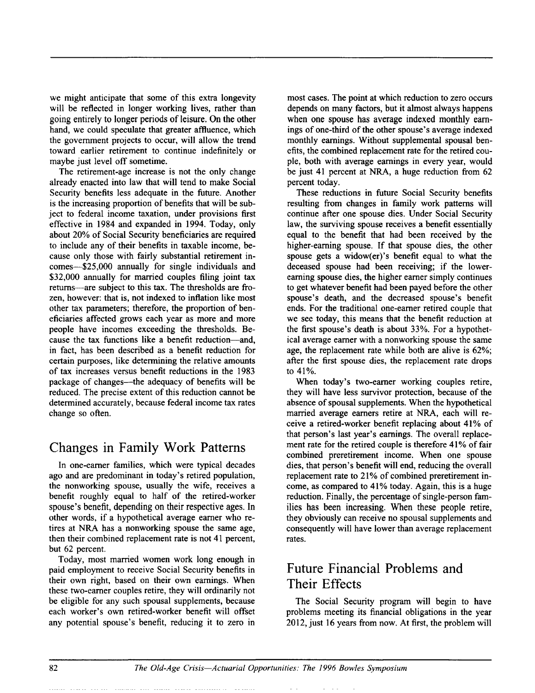we might anticipate that some of this extra longevity will be reflected in longer working lives, rather than going entirely to longer periods of leisure. On the other hand, we could speculate that greater affluence, which the government projects to occur, will allow the trend toward earlier retirement to continue indefinitely or maybe just level off sometime.

The retirement-age increase is not the only change already enacted into law that will tend to make Social Security benefits less adequate in the future. Another is the increasing proportion of benefits that will be subject to federal income taxation, under provisions first effective in 1984 and expanded in 1994. Today, only about 20% of Social Security beneficiaries are required to include any of their benefits in taxable income, because only those with fairly substantial retirement incomes--S25,000 annually for single individuals and \$32,000 annually for married couples filing joint tax returns---are subject to this tax. The thresholds are frozen, however: that is, not indexed to inflation like most other tax parameters; therefore, the proportion of beneficiaries affected grows each year as more and more people have incomes exceeding the thresholds. Because the tax functions like a benefit reduction—and, in fact, has been described as a benefit reduction for certain purposes, like determining the relative amounts of tax increases versus benefit reductions in the 1983 package of changes—the adequacy of benefits will be reduced. The precise extent of this reduction cannot be determined accurately, because federal income tax rates change so often.

## **Changes in Family Work Patterns**

In one-earner families, which were typical decades ago and are predominant in today's retired population, the nonworking spouse, usually the wife, receives a benefit roughly equal to half of the retired-worker spouse's benefit, depending on their respective ages. In other words, if a hypothetical average earner who retires at NRA has a nonworking spouse the same age, then their combined replacement rate is not 41 percent, but 62 percent.

Today, most married women work long enough in paid employment to receive Social Security benefits in their own right, based on their own earnings. When these two-earner couples retire, they will ordinarily not be eligible for any such spousal supplements, because each worker's own retired-worker benefit will offset any potential spouse's benefit, reducing it to zero in

most cases. The point at which reduction to zero occurs depends on many factors, but it almost always happens when one spouse has average indexed monthly earnings of one-third of the other spouse's average indexed monthly earnings. Without supplemental spousal benefits, the combined replacement rate for the retired couple, both with average earnings in every year, would be just 41 percent at NRA, a huge reduction from 62 percent today.

These reductions in future Social Security benefits resulting from changes in family work patterns will continue after one spouse dies. Under Social Security law, the surviving spouse receives a benefit essentially equal to the benefit that had been received by the higher-earning spouse. If that spouse dies, the other spouse gets a widow(er)'s benefit equal to what the deceased spouse had been receiving; if the lowerearning spouse dies, the higher earner simply continues to get whatever benefit had been payed before the other spouse's death, and the decreased spouse's benefit ends. For the traditional one-earner retired couple that we see today, this means that the benefit reduction at the first spouse's death is about 33%. For a hypothetical average earner with a nonworking spouse the same age, the replacement rate while both are alive is 62%; after the first spouse dies, the replacement rate drops to 41%.

When today's two-earner working couples retire, they will have less survivor protection, because of the absence of spousal supplements. When the hypothetical married average earners retire at NRA, each will receive a retired-worker benefit replacing about 41% of that person's last year's earnings. The overall replacement rate for the retired couple is therefore 41% of fair combined preretirement income. When one spouse dies, that person's benefit will end, reducing the overall replacement rate to 21% of combined preretirement income, as compared to 41% today. Again, this is a huge reduction. Finally, the percentage of single-person families has been increasing. When these people retire, they obviously can receive no spousal supplements and consequently will have lower than average replacement rates.

## **Future Financial Problems and Their Effects**

The Social Security program will begin to have problems meeting its financial obligations in the year 2012, just 16 years from now. At first, the problem will

82 *The Old-Age Crisis--Actuarial Opportunities: The 1996 Bowles Symposium*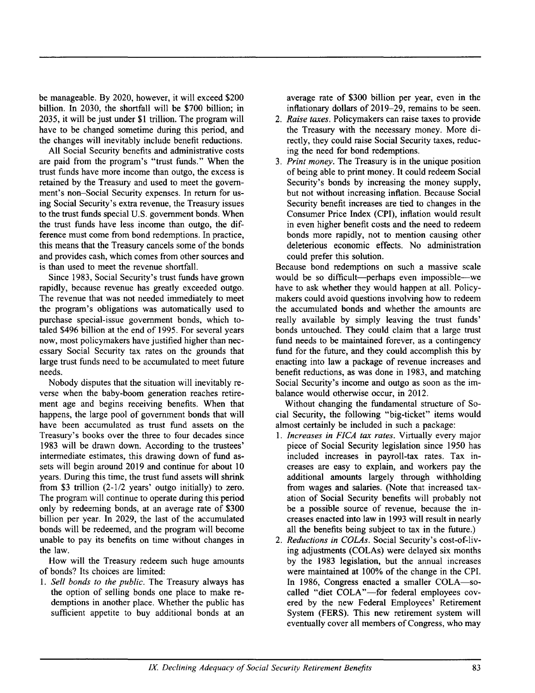be manageable. By 2020, however, it will exceed \$200 billion. In 2030, the shortfall will be \$700 billion; in 2035, it will be just under \$1 trillion. The program will have to be changed sometime during this period, and the changes will inevitably include benefit reductions.

All Social Security benefits and administrative costs are paid from the program's "trust funds." When the trust funds have more income than outgo, the excess is retained by the Treasury and used to meet the government's non-Social Security expenses. In return for using Social Security's extra revenue, the Treasury issues to the trust funds special U.S. government bonds. When the trust funds have less income than outgo, the difference must come from bond redemptions. In practice, this means that the Treasury cancels some of the bonds and provides cash, which comes from other sources and is than used to meet the revenue shortfall.

Since 1983, Social Security's trust funds have grown rapidly, because revenue has greatly exceeded outgo. The revenue that was not needed immediately to meet the program's obligations was automatically used to purchase special-issue government bonds, which totaled \$496 billion at the end of 1995. For several years now, most policymakers have justified higher than necessary Social Security tax rates on the grounds that large trust funds need to be accumulated to meet future needs.

Nobody disputes that the situation will inevitably reverse when the baby-boom generation reaches retirement age and begins receiving benefits. When that happens, the large pool of government bonds that will have been accumulated as trust fund assets on the Treasury's books over the three to four decades since 1983 will be drawn down. According to the trustees' intermediate estimates, this drawing down of fund assets will begin around 2019 and continue for about 10 years. During this time, the trust fund assets will shrink from \$3 trillion (2-1/2 years' outgo initially) to zero. The program will continue to operate during this period only by redeeming bonds, at an average rate of \$300 billion per year. In 2029, the last of the accumulated bonds will be redeemed, and the program will become unable to pay its benefits on time without changes in the law.

How will the Treasury redeem such huge amounts of bonds? Its choices are limited:

*1. Sell bonds to the public.* The Treasury always has the option of selling bonds one place to make redemptions in another place. Whether the public has sufficient appetite to buy additional bonds at an average rate of \$300 billion per year, even in the inflationary dollars of 2019-29, remains to be seen.

- *2. Raise taxes.* Policymakers can raise taxes to provide the Treasury with the necessary money. More directly, they could raise Social Security taxes, reducing the need for bond redemptions.
- *3. Print money.* The Treasury is in the unique position of being able to print money. It could redeem Social Security's bonds by increasing the money supply, but not without increasing inflation. Because Social Security benefit increases are tied to changes in the Consumer Price Index (CPI), inflation would result in even higher benefit costs and the need to redeem bonds more rapidly, not to mention causing other deleterious economic effects. No administration could prefer this solution.

Because bond redemptions on such a massive scale would be so difficult--perhaps even impossible--we have to ask whether they would happen at all. Policymakers could avoid questions involving how to redeem the accumulated bonds and whether the amounts are really available by simply leaving the trust funds' bonds untouched. They could claim that a large trust fund needs to be maintained forever, as a contingency fund for the future, and they could accomplish this by enacting into law a package of revenue increases and benefit reductions, as was done in 1983, and matching Social Security's income and outgo as soon as the imbalance would otherwise occur, in 2012.

Without changing the fundamental structure of Social Security, the following "big-ticket" items would almost certainly be included in such a package:

- *1. Increases in FICA tax rates.* Virtually every major piece of Social Security legislation since 1950 has included increases in payroll-tax rates. Tax increases are easy to explain, and workers pay the additional amounts largely through withholding from wages and salaries. (Note that increased taxation of Social Security benefits will probably not be a possible source of revenue, because the increases enacted into law in 1993 will result in nearly all the benefits being subject to tax in the future.)
- *2. Reductions in COLAs.* Social Security's cost-of-living adjustments (COLAs) were delayed six months by the 1983 legislation, but the annual increases were maintained at 100% of the change in the CPI. In 1986, Congress enacted a smaller COLA-socalled "diet COLA"-for federal employees covered by the new Federal Employees' Retirement System (FERS). This new retirement system will eventually cover all members of Congress, who may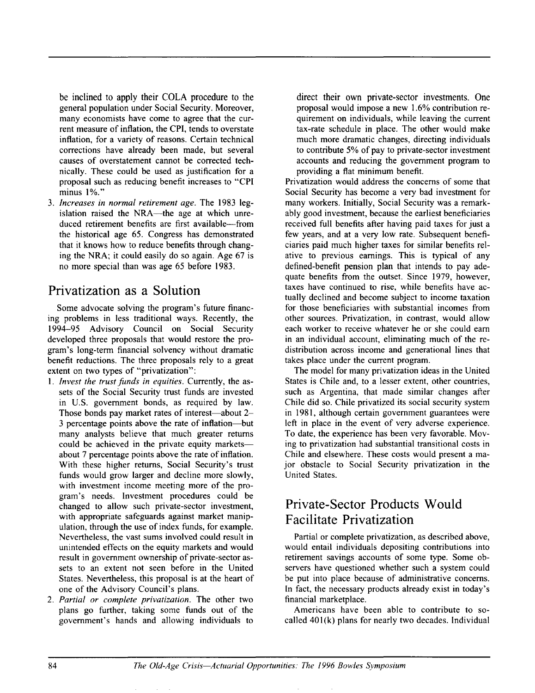be inclined to apply their COLA procedure to the general population under Social Security. Moreover, many economists have come to agree that the current measure of inflation, the CPI, tends to overstate inflation, for a variety of reasons. Certain technical corrections have already been made, but several causes of overstatement cannot be corrected technically. These could be used as justification for a proposal such as reducing benefit increases to "CPI minus 1%."

*3. Increases in normal retirement age.* The 1983 legislation raised the NRA--the age at which unreduced retirement benefits are first available---from the historical age 65. Congress has demonstrated that it knows how to reduce benefits through changing the NRA; it could easily do so again. Age 67 is no more special than was age 65 before 1983.

## **Privatization as a Solution**

Some advocate solving the program's future financing problems in less traditional ways. Recently, the 1994-95 Advisory Council on Social Security developed three proposals that would restore the program's long-term financial solvency without dramatic benefit reductions. The three proposals rely to a great extent on two types of "privatization":

- *1. Invest the trust fimds in equities.* Currently, the assets of the Social Security trust funds are invested in U.S. government bonds, as required by law. Those bonds pay market rates of interest—about 2-3 percentage points above the rate of inflation--but many analysts believe that much greater returns could be achieved in the private equity markets-about 7 percentage points above the rate of inflation. With these higher returns, Social Security's trust funds would grow larger and decline more slowly, with investment income meeting more of the program's needs. Investment procedures could be changed to allow such private-sector investment, with appropriate safeguards against market manipulation, through the use of index funds, for example. Nevertheless, the vast sums involved could result in unintended effects on the equity markets and would result in government ownership of private-sector assets to an extent not seen before in the United States. Nevertheless, this proposal is at the heart of one of the Advisory Council's plans.
- *2. Partial or complete privatization.* The other two plans go further, taking some funds out of the government's hands and allowing individuals to

direct their own private-sector investments. One proposal would impose a new 1.6% contribution requirement on individuals, while leaving the current tax-rate schedule in place. The other would make much more dramatic changes, directing individuals to contribute 5% of pay to private-sector investment accounts and reducing the government program to providing a flat minimum benefit.

Privatization would address the concerns of some that Social Security has become a very bad investment for many workers. Initially, Social Security was a remarkably good investment, because the earliest beneficiaries received full benefits after having paid taxes for just a few years, and at a very low rate. Subsequent beneficiaries paid much higher taxes for similar benefits relative to previous earnings. This is typical of any defined-benefit pension plan that intends to pay adequate benefits from the outset. Since 1979, however, taxes have continued to rise, while benefits have actually declined and become subject to income taxation for those beneficiaries with substantial incomes from other sources. Privatization, in contrast, would allow each worker to receive whatever he or she could earn in an individual account, eliminating much of the redistribution across income and generational lines that takes place under the current program.

The model for many privatization ideas in the United States is Chile and, to a lesser extent, other countries, such as Argentina, that made similar changes after Chile did so. Chile privatized its social security system in 1981, although certain government guarantees were left in place in the event of very adverse experience. To date, the experience has been very favorable. Moving to privatization had substantial transitional costs in Chile and elsewhere. These costs would present a major obstacle to Social Security privatization in the United States.

## **Private-Sector Products Would Facilitate Privatization**

Partial or complete privatization, as described above, would entail individuals depositing contributions into retirement savings accounts of some type. Some observers have questioned whether such a system could be put into place because of administrative concerns. In fact, the necessary products already exist in today's financial marketplace.

Americans have been able to contribute to socalled 401(k) plans for nearly two decades. Individual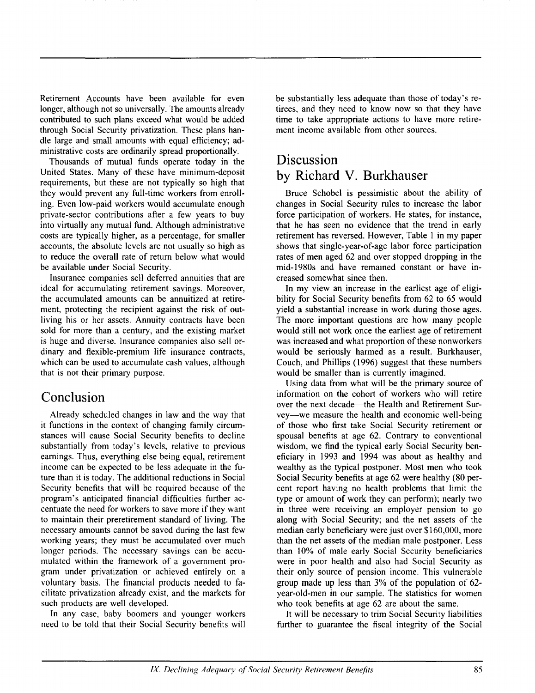Retirement Accounts have been available for even longer, although not so universally. The amounts already contributed to such plans exceed what would be added through Social Security privatization. These plans handle large and small amounts with equal efficiency; administrative costs are ordinarily spread proportionally.

Thousands of mutual funds operate today in the United States. Many of these have minimum-deposit requirements, but these are not typically so high that they would prevent any full-time workers from enrolling. Even low-paid workers would accumulate enough private-sector contributions after a few years to buy into virtually any mutual fund. Although administrative costs are typically higher, as a percentage, for smaller accounts, the absolute levels are not usually so high as to reduce the overall rate of return below what would be available under Social Security.

Insurance companies sell deferred annuities that are ideal for accumulating retirement savings. Moreover, the accumulated amounts can be annuitized at retirement, protecting the recipient against the risk of outliving his or her assets. Annuity contracts have been sold for more than a century, and the existing market is huge and diverse. Insurance companies also sell ordinary and flexible-premium life insurance contracts, which can be used to accumulate cash values, although that is not their primary purpose.

#### **Conclusion**

Already scheduled changes in law and the way that it functions in the context of changing family circumstances will cause Social Security benefits to decline substantially from today's levels, relative to previous earnings. Thus, everything else being equal, retirement income can be expected to be less adequate in the future than it is today. The additional reductions in Social Security benefits that will be required because of the program's anticipated financial difficulties further accentuate the need for workers to save more if they want to maintain their preretirement standard of living. The necessary amounts cannot be saved during the last few working years; they must be accumulated over much longer periods. The necessary savings can be accumulated within the framework of a government program under privatization or achieved entirely on a voluntary basis. The financial products needed to facilitate privatization already exist, and the markets for such products are well developed.

In any case, baby boomers and younger workers need to be told that their Social Security benefits will

be substantially less adequate than those of today's retirees, and they need to know now so that they have time to take appropriate actions to have more retirement income available from other sources.

# **Discussion by Richard V. Burkhauser**

Bruce Schobel is pessimistic about the ability of changes in Social Security rules to increase the labor force participation of workers. He states, for instance, that he has seen no evidence that the trend in early retirement has reversed. However, Table 1 in my paper shows that single-year-of-age labor force participation rates of men aged 62 and over stopped dropping in the mid-1980s and have remained constant or have increased somewhat since then.

In my view an increase in the earliest age of eligibility for Social Security benefits from 62 to 65 would yield a substantial increase in work during those ages. The more important questions are how many people would still not work once the earliest age of retirement was increased and what proportion of these nonworkers would be seriously harmed as a result. Burkhauser, Couch, and Phillips (1996) suggest that these numbers would be smaller than is currently imagined.

Using data from what will be the primary source of information on the cohort of workers who will retire over the next decade—the Health and Retirement Survey-we measure the health and economic well-being of those who first take Social Security retirement or spousal benefits at age 62. Contrary to conventional wisdom, we find the typical early Social Security beneficiary in 1993 and 1994 was about as healthy and wealthy as the typical postponer. Most men who took Social Security benefits at age 62 were healthy (80 percent report having no health problems that limit the type or amount of work they can perform); nearly two in three were receiving an employer pension to go along with Social Security; and the net assets of the median early beneficiary were just over \$160,000, more than the net assets of the median male postponer. Less than 10% of male early Social Security beneficiaries were in poor health and also had Social Security as their only source of pension income. This vulnerable group made up less than 3% of the population of 62 year-old-men in our sample. The statistics for women who took benefits at age 62 are about the same.

It will be necessary to trim Social Security liabilities further to guarantee the fiscal integrity of the Social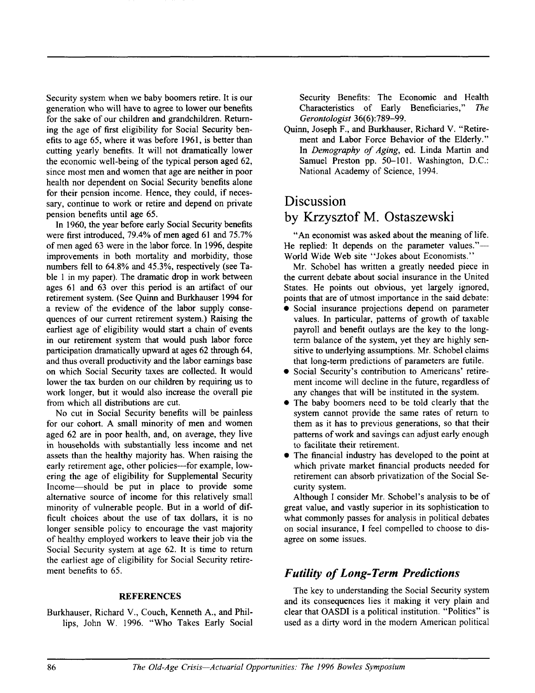Security system when we baby boomers retire. It is our generation who will have to agree to lower our benefits for the sake of our children and grandchildren. Returning the age of first eligibility for Social Security benefits to age 65, where it was before 1961, is better than cutting yearly benefits. It will not dramatically lower the economic well-being of the typical person aged 62, since most men and women that age are neither in poor health nor dependent on Social Security benefits alone for their pension income. Hence, they could, if necessary, continue to work or retire and depend on private pension benefits until age 65.

In 1960, the year before early Social Security benefits were first introduced, 79.4% of men aged 61 and 75.7% of men aged 63 were in the labor force. In 1996, despite improvements in both mortality and morbidity, those numbers fell to 64.8% and 45.3%, respectively (see Table 1 in my paper). The dramatic drop in work between ages 61 and 63 over this period is an artifact of our retirement system. (See Quinn and Burkhauser 1994 for a review of the evidence of the labor supply consequences of our current retirement system.) Raising the earliest age of eligibility would start a chain of events in our retirement system that would push labor force participation dramatically upward at ages 62 through 64, and thus overall productivity and the labor earnings base on which Social Security taxes are collected. It would lower the tax burden on our children by requiring us to work longer, but it would also increase the overall pie from which all distributions are cut.

No cut in Social Security benefits will be painless for our cohort. A small minority of men and women aged 62 are in poor health, and, on average, they live in households with substantially less income and net assets than the healthy majority has. When raising the early retirement age, other policies---for example, lowering the age of eligibility for Supplemental Security Income--should be put in place to provide some alternative source of income for this relatively small minority of vulnerable people. But in a world of difficult choices about the use of tax dollars, it is no longer sensible policy to encourage the vast majority of healthy employed workers to leave their job via the Social Security system at age 62. It is time to return the earliest age of eligibility for Social Security retirement benefits to 65.

#### **REFERENCES**

Burkhauser, Richard V., Couch, Kenneth A., and Phillips, John W. 1996. "Who Takes Early Social Security Benefits: The Economic and Health Characteristics of Early Beneficiaries," The *Gerontologist* 36(6):789-99.

Quinn, Joseph F., and Burkhauser, Richard V. "Retirement and Labor Force Behavior of the Elderly." In *Demography of Aging,* ed. Linda Martin and Samuel Preston pp. 50-101. Washington, D.C.: National Academy of Science, 1994.

## **Discussion**

#### **by Krzysztof M. Ostaszewski**

"An economist was asked about the meaning of life. He replied: It depends on the parameter values."-World Wide Web site "Jokes about Economists."

Mr. Schobel has written a greatly needed piece in the current debate about social insurance in the United States. He points out obvious, yet largely ignored, points that are of utmost importance in the said debate:

- Social insurance projections depend on parameter values. In particular, patterns of growth of taxable payroll and benefit outlays are the key to the longterm balance of the system, yet they are highly sensitive to underlying assumptions. Mr. Schobel claims that long-term predictions of parameters are futile.
- Social Security's contribution to Americans' retirement income will decline in the future, regardless of any changes that will be instituted in the system.
- The baby boomers need to be told clearly that the system cannot provide the same rates of return to them as it has to previous generations, so that their patterns of work and savings can adjust early enough to facilitate their retirement.
- The financial industry has developed to the point at which private market financial products needed for retirement can absorb privatization of the Social Security system.

Although I consider Mr. Schobel's analysis to be of great value, and vastly superior in its sophistication to what commonly passes for analysis in political debates on social insurance, I feel compelled to choose to disagree on some issues.

#### *Futility of Long-Term Predictions*

The key to understanding the Social Security system and its consequences lies it making it very plain and clear that OASDI is a political institution. "Politics" is used as a dirty word in the modern American political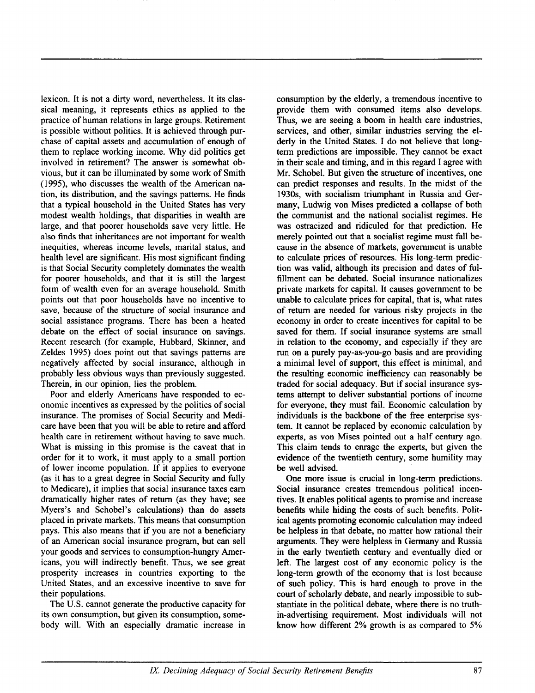lexicon. It is not a dirty word, nevertheless. It its classical meaning, it represents ethics as applied to the practice of human relations in large groups. Retirement is possible without politics. It is achieved through purchase of capital assets and accumulation of enough of them to replace working income. Why did politics get involved in retirement? The answer is somewhat obvious, but it can be illuminated by some work of Smith (1995), who discusses the wealth of the American nation, its distribution, and the savings patterns. He finds that a typical household in the United States has very modest wealth holdings, that disparities in wealth are large, and that poorer households save very little. He also finds that inheritances are not important for wealth inequities, whereas income levels, marital status, and health level are significant. His most significant finding is that Social Security completely dominates the wealth for poorer households, and that it is still the largest form of wealth even for an average household. Smith points out that poor households have no incentive to save, because of the structure of social insurance and social assistance programs. There has been a heated debate on the effect of social insurance on savings. Recent research (for example, Hubbard, Skinner, and Zeldes 1995) does point out that savings patterns are negatively affected by social insurance, although in probably less obvious ways than previously suggested. Therein, in our opinion, lies the problem.

Poor and elderly Americans have responded to economic incentives as expressed by the politics of social insurance. The promises of Social Security and Medicare have been that you will be able to retire and afford health care in retirement without having to save much. What is missing in this promise is the caveat that in order for it to work, it must apply to a small portion of lower income population. If it applies to everyone (as it has to a great degree in Social Security and fully to Medicare), it implies that social insurance taxes earn dramatically higher rates of return (as they have; see Myers's and Schobel's calculations) than do assets placed in private markets. This means that consumption pays. This also means that if you are not a beneficiary of an American social insurance program, but can sell your goods and services to consumption-hungry Americans, you will indirectly benefit. Thus, we see great prosperity increases in countries exporting to the United States, and an excessive incentive to save for their populations.

The U.S. cannot generate the productive capacity for its own consumption, but given its consumption, somebody will. With an especially dramatic increase in consumption by the elderly, a tremendous incentive to provide them with consumed items also develops. Thus, we are seeing a boom in health care industries, services, and other, similar industries serving the elderly in the United States. I do not believe that longterm predictions are impossible. They cannot be exact in their scale and timing, and in this regard I agree with Mr. Schobel. But given the structure of incentives, one can predict responses and results. In the midst of the 1930s, with socialism triumphant in Russia and Germany, Ludwig von Mises predicted a collapse of both the communist and the national socialist regimes. He was ostracized and ridiculed for that prediction. He merely pointed out that a socialist regime must fall because in the absence of markets, government is unable to calculate prices of resources. His long-term prediction was valid, although its precision and dates of fulfillment can be debated. Social insurance nationalizes private markets for capital. It causes government to be unable to calculate prices for capital, that is, what rates of retum are needed for various risky projects in the economy in order to create incentives for capital to be saved for them. If social insurance systems are small in relation to the economy, and especially if they are run on a purely pay-as-you-go basis and are providing a minimal level of support, this effect is minimal, and the resulting economic inefficiency can reasonably be traded for social adequacy. But if social insurance systems attempt to deliver substantial portions of income for everyone, they must fail. Economic calculation by individuals is the backbone of the free enterprise system. It cannot be replaced by economic calculation by experts, as von Mises pointed out a half century ago. This claim tends to enrage the experts, but given the evidence of the twentieth century, some humility may be well advised.

One more issue is crucial in long-term predictions. Social insurance creates tremendous political incentives. It enables political agents to promise and increase benefits while hiding the costs of such benefits. Political agents promoting economic calculation may indeed be helpless in that debate, no matter how rational their arguments. They were helpless in Germany and Russia in the early twentieth century and eventually died or left. The largest cost of any economic policy is the long-term growth of the economy that is lost because of such policy. This is hard enough to prove in the court of scholarly debate, and nearly impossible to substantiate in the political debate, where there is no truthin-advertising requirement. Most individuals will not know how different 2% growth is as compared to 5%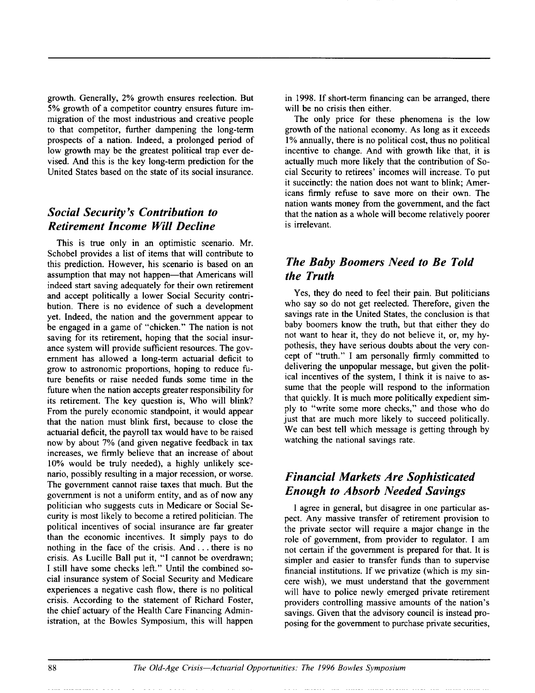growth. Generally, 2% growth ensures reelection. But 5% growth of a competitor country ensures future immigration of the most industrious and creative people to that competitor, further dampening the long-term prospects of a nation. Indeed, a prolonged period of low growth may be the greatest political trap ever devised. And this is the key long-term prediction for the United States based on the state of its social insurance.

#### *Social Security's Contribution to Retirement Income Will Decline*

This is true only in an optimistic scenario. Mr. Schobel provides a list of items that will contribute to this prediction. However, his scenario is based on an assumption that may not happen—that Americans will indeed start saving adequately for their own retirement and accept politically a lower Social Security contribution. There is no evidence of such a development yet. Indeed, the nation and the government appear to be engaged in a game of "chicken." The nation is not saving for its retirement, hoping that the social insurance system will provide sufficient resources. The government has allowed a long-term actuarial deficit to grow to astronomic proportions, hoping to reduce future benefits or raise needed funds some time in the future when the nation accepts greater responsibility for its retirement. The key question is, Who will blink? From the purely economic standpoint, it would appear that the nation must blink first, because to close the actuarial deficit, the payroll tax would have to be raised now by about 7% (and given negative feedback in tax increases, we firmly believe that an increase of about 10% would be truly needed), a highly unlikely scenario, possibly resulting in a major recession, or worse. The government cannot raise taxes that much. But the government is not a uniform entity, and as of now any politician who suggests cuts in Medicare or Social Security is most likely to become a retired politician. The political incentives of social insurance are far greater than the economic incentives. It simply pays to do nothing in the face of the crisis. And... there is no crisis. As Lucille Ball put it, "I cannot be overdrawn; I still have some checks lefL" Until the combined social insurance system of Social Security and Medicare experiences a negative cash flow, there is no political crisis. According to the statement of Richard Foster, the chief actuary of the Health Care Financing Administration, at the Bowles Symposium, this will happen

in 1998. If short-term financing can be arranged, there will be no crisis then either.

The only price for these phenomena is the low growth of the national economy. As long as it exceeds 1% annually, there is no political cost, thus no political incentive to change. And with growth like that, it is actually much more likely that the contribution of Social Security to retirees' incomes will increase. To put it succinctly: the nation does not want to blink; Americans firmly refuse to save more on their own. The nation wants money from the government, and the fact that the nation as a whole will become relatively poorer is irrelevant.

## *The Baby Boomers Need to Be Told the Truth*

Yes, they do need to feel their pain. But politicians who say so do not get reelected. Therefore, given the savings rate in the United States, the conclusion is that baby boomers know the truth, but that either they do not want to hear it, they do not believe it, or, my hypothesis, they have serious doubts about the very concept of "truth." I am personally firmly committed to delivering the unpopular message, but given the political incentives of the system, I think it is naive to assume that the people will respond to the information that quickly. It is much more politically expedient simply to "write some more checks," and those who do just that are much more likely to succeed politically. We can best tell which message is getting through by watching the national savings rate.

#### *Financial Markets Are Sophisticated Enough to Absorb Needed Savings*

I agree in general, but disagree in one particular aspect. Any massive transfer of retirement provision to the private sector will require a major change in the role of government, from provider to regulator. I am not certain if the government is prepared for that. It is simpler and easier to transfer funds than to supervise financial institutions. If we privatize (which is my sincere wish), we must understand that the government will have to police newly emerged private retirement providers controlling massive amounts of the nation's savings. Given that the advisory council is instead proposing for the government to purchase private securities,